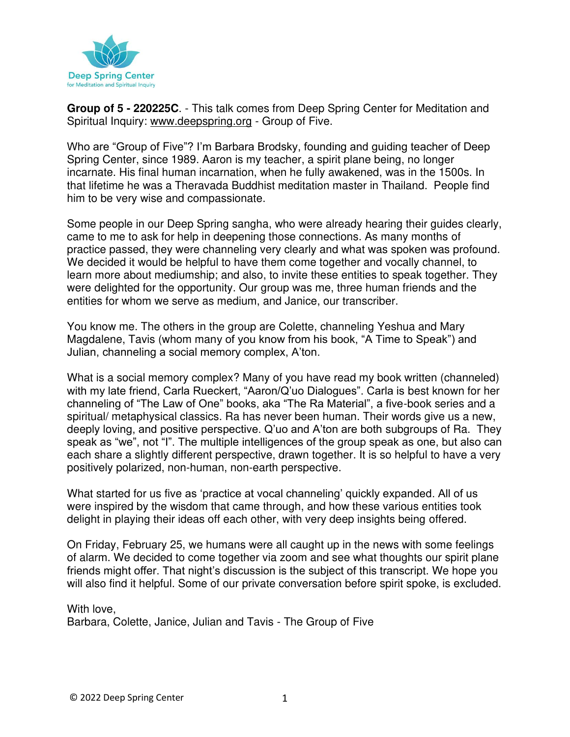

**Group of 5 - 220225C**. - This talk comes from Deep Spring Center for Meditation and Spiritual Inquiry: [www.deepspring.org](http://www.deepspring.org/) - Group of Five.

Who are "Group of Five"? I'm Barbara Brodsky, founding and guiding teacher of Deep Spring Center, since 1989. Aaron is my teacher, a spirit plane being, no longer incarnate. His final human incarnation, when he fully awakened, was in the 1500s. In that lifetime he was a Theravada Buddhist meditation master in Thailand. People find him to be very wise and compassionate.

Some people in our Deep Spring sangha, who were already hearing their guides clearly, came to me to ask for help in deepening those connections. As many months of practice passed, they were channeling very clearly and what was spoken was profound. We decided it would be helpful to have them come together and vocally channel, to learn more about mediumship; and also, to invite these entities to speak together. They were delighted for the opportunity. Our group was me, three human friends and the entities for whom we serve as medium, and Janice, our transcriber.

You know me. The others in the group are Colette, channeling Yeshua and Mary Magdalene, Tavis (whom many of you know from his book, "A Time to Speak") and Julian, channeling a social memory complex, A'ton.

What is a social memory complex? Many of you have read my book written (channeled) with my late friend, Carla Rueckert, "Aaron/Q'uo Dialogues". Carla is best known for her channeling of "The Law of One" books, aka "The Ra Material", a five-book series and a spiritual/ metaphysical classics. Ra has never been human. Their words give us a new, deeply loving, and positive perspective. Q'uo and A'ton are both subgroups of Ra. They speak as "we", not "I". The multiple intelligences of the group speak as one, but also can each share a slightly different perspective, drawn together. It is so helpful to have a very positively polarized, non-human, non-earth perspective.

What started for us five as 'practice at vocal channeling' quickly expanded. All of us were inspired by the wisdom that came through, and how these various entities took delight in playing their ideas off each other, with very deep insights being offered.

On Friday, February 25, we humans were all caught up in the news with some feelings of alarm. We decided to come together via zoom and see what thoughts our spirit plane friends might offer. That night's discussion is the subject of this transcript. We hope you will also find it helpful. Some of our private conversation before spirit spoke, is excluded.

With love,

Barbara, Colette, Janice, Julian and Tavis - The Group of Five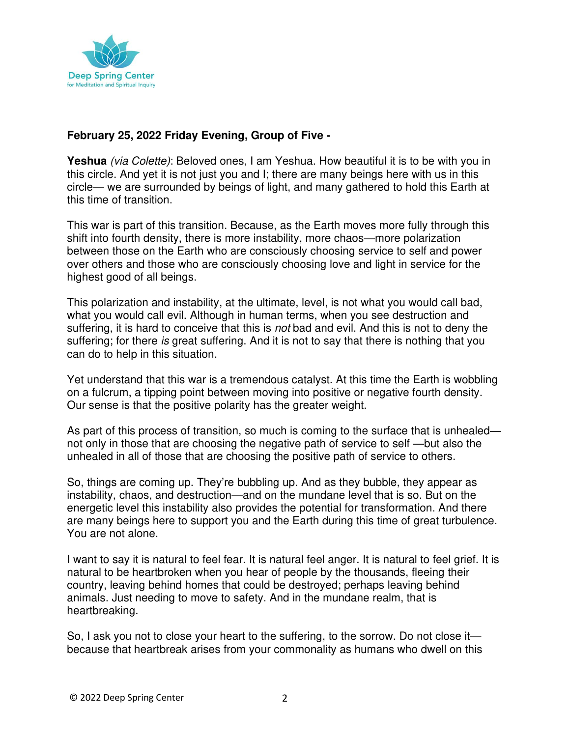

## **February 25, 2022 Friday Evening, Group of Five -**

**Yeshua** (via Colette): Beloved ones, I am Yeshua. How beautiful it is to be with you in this circle. And yet it is not just you and I; there are many beings here with us in this circle— we are surrounded by beings of light, and many gathered to hold this Earth at this time of transition.

This war is part of this transition. Because, as the Earth moves more fully through this shift into fourth density, there is more instability, more chaos—more polarization between those on the Earth who are consciously choosing service to self and power over others and those who are consciously choosing love and light in service for the highest good of all beings.

This polarization and instability, at the ultimate, level, is not what you would call bad, what you would call evil. Although in human terms, when you see destruction and suffering, it is hard to conceive that this is *not* bad and evil. And this is not to deny the suffering; for there is great suffering. And it is not to say that there is nothing that you can do to help in this situation.

Yet understand that this war is a tremendous catalyst. At this time the Earth is wobbling on a fulcrum, a tipping point between moving into positive or negative fourth density. Our sense is that the positive polarity has the greater weight.

As part of this process of transition, so much is coming to the surface that is unhealed not only in those that are choosing the negative path of service to self —but also the unhealed in all of those that are choosing the positive path of service to others.

So, things are coming up. They're bubbling up. And as they bubble, they appear as instability, chaos, and destruction—and on the mundane level that is so. But on the energetic level this instability also provides the potential for transformation. And there are many beings here to support you and the Earth during this time of great turbulence. You are not alone.

I want to say it is natural to feel fear. It is natural feel anger. It is natural to feel grief. It is natural to be heartbroken when you hear of people by the thousands, fleeing their country, leaving behind homes that could be destroyed; perhaps leaving behind animals. Just needing to move to safety. And in the mundane realm, that is heartbreaking.

So, I ask you not to close your heart to the suffering, to the sorrow. Do not close it because that heartbreak arises from your commonality as humans who dwell on this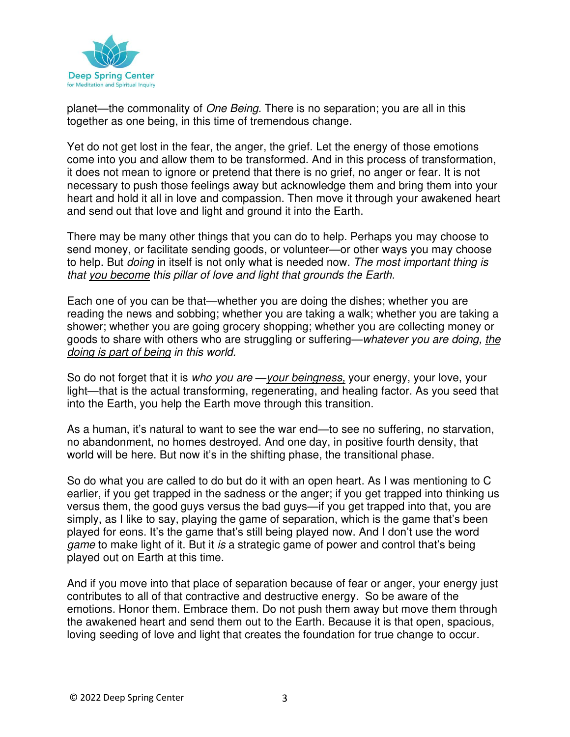

planet—the commonality of One Being. There is no separation; you are all in this together as one being, in this time of tremendous change.

Yet do not get lost in the fear, the anger, the grief. Let the energy of those emotions come into you and allow them to be transformed. And in this process of transformation, it does not mean to ignore or pretend that there is no grief, no anger or fear. It is not necessary to push those feelings away but acknowledge them and bring them into your heart and hold it all in love and compassion. Then move it through your awakened heart and send out that love and light and ground it into the Earth.

There may be many other things that you can do to help. Perhaps you may choose to send money, or facilitate sending goods, or volunteer—or other ways you may choose to help. But *doing* in itself is not only what is needed now. The most important thing is that you become this pillar of love and light that grounds the Earth.

Each one of you can be that—whether you are doing the dishes; whether you are reading the news and sobbing; whether you are taking a walk; whether you are taking a shower; whether you are going grocery shopping; whether you are collecting money or goods to share with others who are struggling or suffering—whatever you are doing, the doing is part of being in this world.

So do not forget that it is who you are - your beingness, your energy, your love, your light—that is the actual transforming, regenerating, and healing factor. As you seed that into the Earth, you help the Earth move through this transition.

As a human, it's natural to want to see the war end—to see no suffering, no starvation, no abandonment, no homes destroyed. And one day, in positive fourth density, that world will be here. But now it's in the shifting phase, the transitional phase.

So do what you are called to do but do it with an open heart. As I was mentioning to C earlier, if you get trapped in the sadness or the anger; if you get trapped into thinking us versus them, the good guys versus the bad guys—if you get trapped into that, you are simply, as I like to say, playing the game of separation, which is the game that's been played for eons. It's the game that's still being played now. And I don't use the word game to make light of it. But it is a strategic game of power and control that's being played out on Earth at this time.

And if you move into that place of separation because of fear or anger, your energy just contributes to all of that contractive and destructive energy. So be aware of the emotions. Honor them. Embrace them. Do not push them away but move them through the awakened heart and send them out to the Earth. Because it is that open, spacious, loving seeding of love and light that creates the foundation for true change to occur.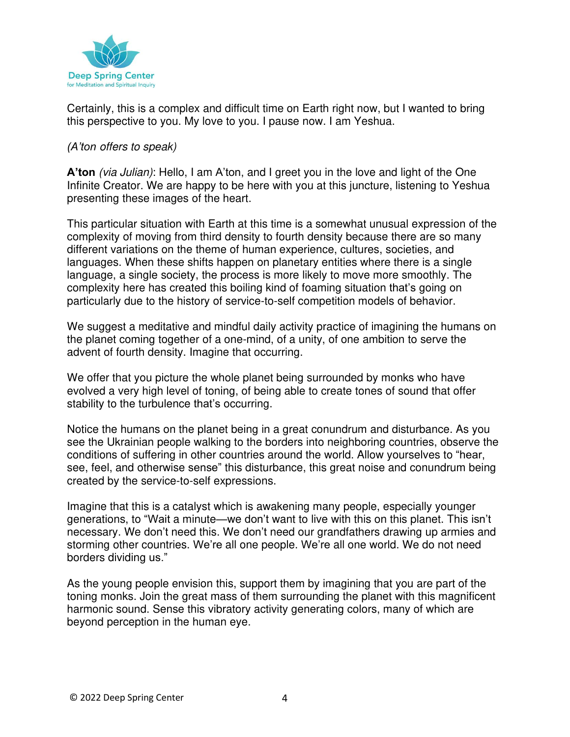

Certainly, this is a complex and difficult time on Earth right now, but I wanted to bring this perspective to you. My love to you. I pause now. I am Yeshua.

## *(A'ton* offers to speak)

**A'ton** (via Julian): Hello, I am A'ton, and I greet you in the love and light of the One Infinite Creator. We are happy to be here with you at this juncture, listening to Yeshua presenting these images of the heart.

This particular situation with Earth at this time is a somewhat unusual expression of the complexity of moving from third density to fourth density because there are so many different variations on the theme of human experience, cultures, societies, and languages. When these shifts happen on planetary entities where there is a single language, a single society, the process is more likely to move more smoothly. The complexity here has created this boiling kind of foaming situation that's going on particularly due to the history of service-to-self competition models of behavior.

We suggest a meditative and mindful daily activity practice of imagining the humans on the planet coming together of a one-mind, of a unity, of one ambition to serve the advent of fourth density. Imagine that occurring.

We offer that you picture the whole planet being surrounded by monks who have evolved a very high level of toning, of being able to create tones of sound that offer stability to the turbulence that's occurring.

Notice the humans on the planet being in a great conundrum and disturbance. As you see the Ukrainian people walking to the borders into neighboring countries, observe the conditions of suffering in other countries around the world. Allow yourselves to "hear, see, feel, and otherwise sense" this disturbance, this great noise and conundrum being created by the service-to-self expressions.

Imagine that this is a catalyst which is awakening many people, especially younger generations, to "Wait a minute—we don't want to live with this on this planet. This isn't necessary. We don't need this. We don't need our grandfathers drawing up armies and storming other countries. We're all one people. We're all one world. We do not need borders dividing us."

As the young people envision this, support them by imagining that you are part of the toning monks. Join the great mass of them surrounding the planet with this magnificent harmonic sound. Sense this vibratory activity generating colors, many of which are beyond perception in the human eye.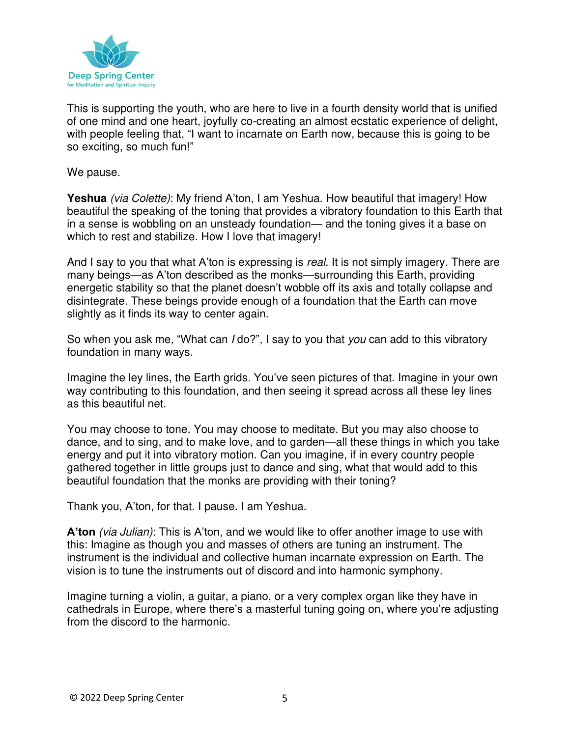

This is supporting the youth, who are here to live in a fourth density world that is unified of one mind and one heart, joyfully co-creating an almost ecstatic experience of delight, with people feeling that, "I want to incarnate on Earth now, because this is going to be so exciting, so much fun!"

We pause.

**Yeshua** (via Colette): My friend A'ton, I am Yeshua. How beautiful that imagery! How beautiful the speaking of the toning that provides a vibratory foundation to this Earth that in a sense is wobbling on an unsteady foundation— and the toning gives it a base on which to rest and stabilize. How I love that imagery!

And I say to you that what A'ton is expressing is *real.* It is not simply imagery. There are many beings—as A'ton described as the monks—surrounding this Earth, providing energetic stability so that the planet doesn't wobble off its axis and totally collapse and disintegrate. These beings provide enough of a foundation that the Earth can move slightly as it finds its way to center again.

So when you ask me, "What can *I* do?", I say to you that you can add to this vibratory foundation in many ways.

Imagine the ley lines, the Earth grids. You've seen pictures of that. Imagine in your own way contributing to this foundation, and then seeing it spread across all these ley lines as this beautiful net.

You may choose to tone. You may choose to meditate. But you may also choose to dance, and to sing, and to make love, and to garden—all these things in which you take energy and put it into vibratory motion. Can you imagine, if in every country people gathered together in little groups just to dance and sing, what that would add to this beautiful foundation that the monks are providing with their toning?

Thank you, A'ton, for that. I pause. I am Yeshua.

**A'ton** (via Julian): This is A'ton, and we would like to offer another image to use with this: Imagine as though you and masses of others are tuning an instrument. The instrument is the individual and collective human incarnate expression on Earth. The vision is to tune the instruments out of discord and into harmonic symphony.

Imagine turning a violin, a guitar, a piano, or a very complex organ like they have in cathedrals in Europe, where there's a masterful tuning going on, where you're adjusting from the discord to the harmonic.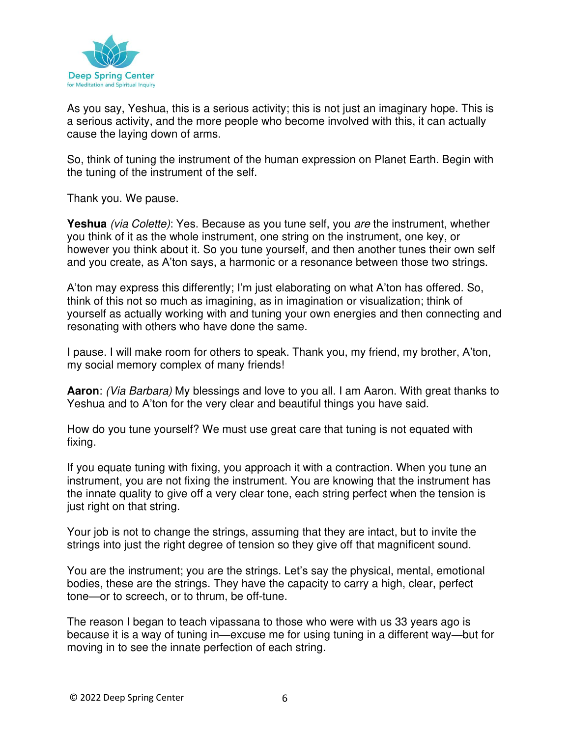

As you say, Yeshua, this is a serious activity; this is not just an imaginary hope. This is a serious activity, and the more people who become involved with this, it can actually cause the laying down of arms.

So, think of tuning the instrument of the human expression on Planet Earth. Begin with the tuning of the instrument of the self.

Thank you. We pause.

**Yeshua** (via Colette): Yes. Because as you tune self, you are the instrument, whether you think of it as the whole instrument, one string on the instrument, one key, or however you think about it. So you tune yourself, and then another tunes their own self and you create, as A'ton says, a harmonic or a resonance between those two strings.

A'ton may express this differently; I'm just elaborating on what A'ton has offered. So, think of this not so much as imagining, as in imagination or visualization; think of yourself as actually working with and tuning your own energies and then connecting and resonating with others who have done the same.

I pause. I will make room for others to speak. Thank you, my friend, my brother, A'ton, my social memory complex of many friends!

**Aaron**: (Via Barbara) My blessings and love to you all. I am Aaron. With great thanks to Yeshua and to A'ton for the very clear and beautiful things you have said.

How do you tune yourself? We must use great care that tuning is not equated with fixing.

If you equate tuning with fixing, you approach it with a contraction. When you tune an instrument, you are not fixing the instrument. You are knowing that the instrument has the innate quality to give off a very clear tone, each string perfect when the tension is just right on that string.

Your job is not to change the strings, assuming that they are intact, but to invite the strings into just the right degree of tension so they give off that magnificent sound.

You are the instrument; you are the strings. Let's say the physical, mental, emotional bodies, these are the strings. They have the capacity to carry a high, clear, perfect tone—or to screech, or to thrum, be off-tune.

The reason I began to teach vipassana to those who were with us 33 years ago is because it is a way of tuning in—excuse me for using tuning in a different way—but for moving in to see the innate perfection of each string.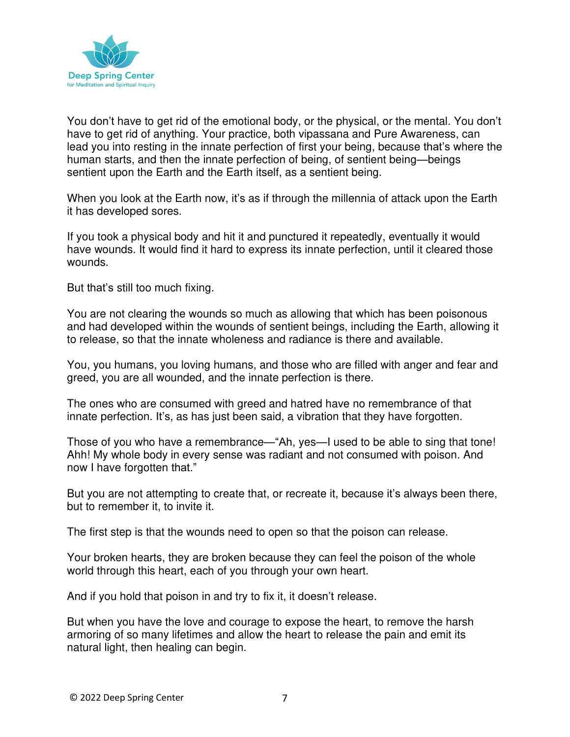

You don't have to get rid of the emotional body, or the physical, or the mental. You don't have to get rid of anything. Your practice, both vipassana and Pure Awareness, can lead you into resting in the innate perfection of first your being, because that's where the human starts, and then the innate perfection of being, of sentient being—beings sentient upon the Earth and the Earth itself, as a sentient being.

When you look at the Earth now, it's as if through the millennia of attack upon the Earth it has developed sores.

If you took a physical body and hit it and punctured it repeatedly, eventually it would have wounds. It would find it hard to express its innate perfection, until it cleared those wounds.

But that's still too much fixing.

You are not clearing the wounds so much as allowing that which has been poisonous and had developed within the wounds of sentient beings, including the Earth, allowing it to release, so that the innate wholeness and radiance is there and available.

You, you humans, you loving humans, and those who are filled with anger and fear and greed, you are all wounded, and the innate perfection is there.

The ones who are consumed with greed and hatred have no remembrance of that innate perfection. It's, as has just been said, a vibration that they have forgotten.

Those of you who have a remembrance—"Ah, yes—I used to be able to sing that tone! Ahh! My whole body in every sense was radiant and not consumed with poison. And now I have forgotten that."

But you are not attempting to create that, or recreate it, because it's always been there, but to remember it, to invite it.

The first step is that the wounds need to open so that the poison can release.

Your broken hearts, they are broken because they can feel the poison of the whole world through this heart, each of you through your own heart.

And if you hold that poison in and try to fix it, it doesn't release.

But when you have the love and courage to expose the heart, to remove the harsh armoring of so many lifetimes and allow the heart to release the pain and emit its natural light, then healing can begin.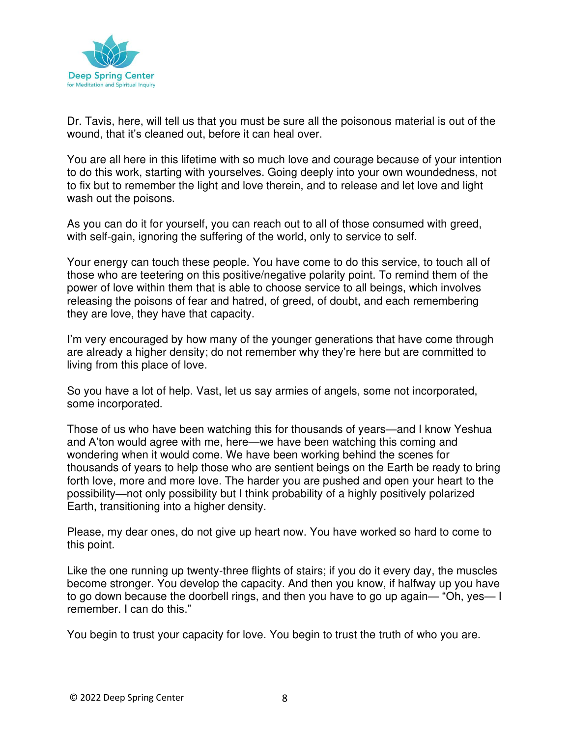

Dr. Tavis, here, will tell us that you must be sure all the poisonous material is out of the wound, that it's cleaned out, before it can heal over.

You are all here in this lifetime with so much love and courage because of your intention to do this work, starting with yourselves. Going deeply into your own woundedness, not to fix but to remember the light and love therein, and to release and let love and light wash out the poisons.

As you can do it for yourself, you can reach out to all of those consumed with greed, with self-gain, ignoring the suffering of the world, only to service to self.

Your energy can touch these people. You have come to do this service, to touch all of those who are teetering on this positive/negative polarity point. To remind them of the power of love within them that is able to choose service to all beings, which involves releasing the poisons of fear and hatred, of greed, of doubt, and each remembering they are love, they have that capacity.

I'm very encouraged by how many of the younger generations that have come through are already a higher density; do not remember why they're here but are committed to living from this place of love.

So you have a lot of help. Vast, let us say armies of angels, some not incorporated, some incorporated.

Those of us who have been watching this for thousands of years—and I know Yeshua and A'ton would agree with me, here—we have been watching this coming and wondering when it would come. We have been working behind the scenes for thousands of years to help those who are sentient beings on the Earth be ready to bring forth love, more and more love. The harder you are pushed and open your heart to the possibility—not only possibility but I think probability of a highly positively polarized Earth, transitioning into a higher density.

Please, my dear ones, do not give up heart now. You have worked so hard to come to this point.

Like the one running up twenty-three flights of stairs; if you do it every day, the muscles become stronger. You develop the capacity. And then you know, if halfway up you have to go down because the doorbell rings, and then you have to go up again— "Oh, yes— I remember. I can do this."

You begin to trust your capacity for love. You begin to trust the truth of who you are.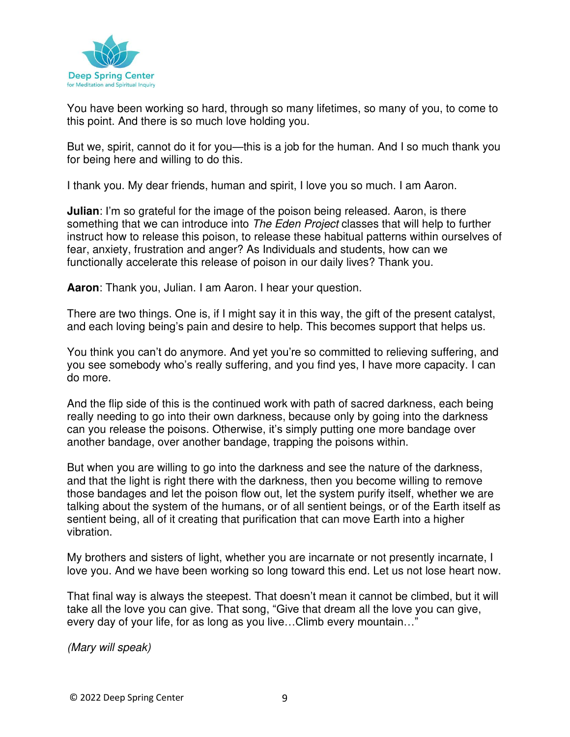

You have been working so hard, through so many lifetimes, so many of you, to come to this point. And there is so much love holding you.

But we, spirit, cannot do it for you—this is a job for the human. And I so much thank you for being here and willing to do this.

I thank you. My dear friends, human and spirit, I love you so much. I am Aaron.

**Julian**: I'm so grateful for the image of the poison being released. Aaron, is there something that we can introduce into The Eden Project classes that will help to further instruct how to release this poison, to release these habitual patterns within ourselves of fear, anxiety, frustration and anger? As Individuals and students, how can we functionally accelerate this release of poison in our daily lives? Thank you.

**Aaron**: Thank you, Julian. I am Aaron. I hear your question.

There are two things. One is, if I might say it in this way, the gift of the present catalyst, and each loving being's pain and desire to help. This becomes support that helps us.

You think you can't do anymore. And yet you're so committed to relieving suffering, and you see somebody who's really suffering, and you find yes, I have more capacity. I can do more.

And the flip side of this is the continued work with path of sacred darkness, each being really needing to go into their own darkness, because only by going into the darkness can you release the poisons. Otherwise, it's simply putting one more bandage over another bandage, over another bandage, trapping the poisons within.

But when you are willing to go into the darkness and see the nature of the darkness, and that the light is right there with the darkness, then you become willing to remove those bandages and let the poison flow out, let the system purify itself, whether we are talking about the system of the humans, or of all sentient beings, or of the Earth itself as sentient being, all of it creating that purification that can move Earth into a higher vibration.

My brothers and sisters of light, whether you are incarnate or not presently incarnate, I love you. And we have been working so long toward this end. Let us not lose heart now.

That final way is always the steepest. That doesn't mean it cannot be climbed, but it will take all the love you can give. That song, "Give that dream all the love you can give, every day of your life, for as long as you live…Climb every mountain…"

(Mary will speak)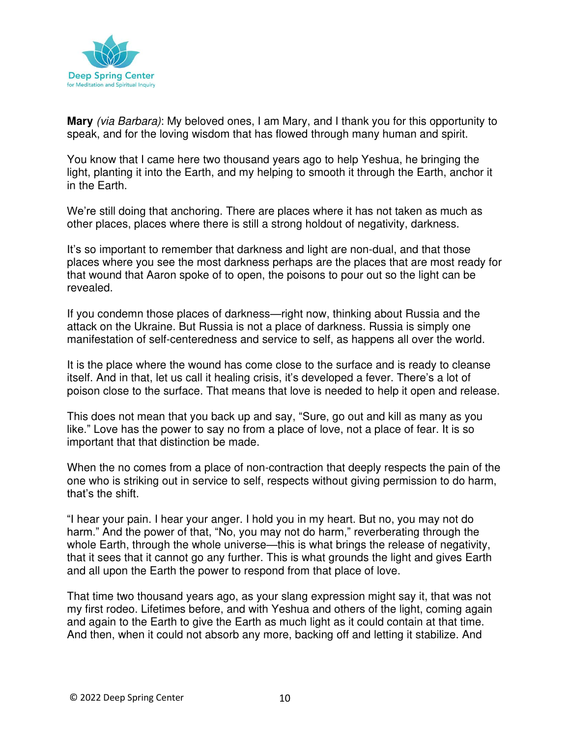

**Mary** (via Barbara): My beloved ones, I am Mary, and I thank you for this opportunity to speak, and for the loving wisdom that has flowed through many human and spirit.

You know that I came here two thousand years ago to help Yeshua, he bringing the light, planting it into the Earth, and my helping to smooth it through the Earth, anchor it in the Earth.

We're still doing that anchoring. There are places where it has not taken as much as other places, places where there is still a strong holdout of negativity, darkness.

It's so important to remember that darkness and light are non-dual, and that those places where you see the most darkness perhaps are the places that are most ready for that wound that Aaron spoke of to open, the poisons to pour out so the light can be revealed.

If you condemn those places of darkness—right now, thinking about Russia and the attack on the Ukraine. But Russia is not a place of darkness. Russia is simply one manifestation of self-centeredness and service to self, as happens all over the world.

It is the place where the wound has come close to the surface and is ready to cleanse itself. And in that, let us call it healing crisis, it's developed a fever. There's a lot of poison close to the surface. That means that love is needed to help it open and release.

This does not mean that you back up and say, "Sure, go out and kill as many as you like." Love has the power to say no from a place of love, not a place of fear. It is so important that that distinction be made.

When the no comes from a place of non-contraction that deeply respects the pain of the one who is striking out in service to self, respects without giving permission to do harm, that's the shift.

"I hear your pain. I hear your anger. I hold you in my heart. But no, you may not do harm." And the power of that, "No, you may not do harm," reverberating through the whole Earth, through the whole universe—this is what brings the release of negativity, that it sees that it cannot go any further. This is what grounds the light and gives Earth and all upon the Earth the power to respond from that place of love.

That time two thousand years ago, as your slang expression might say it, that was not my first rodeo. Lifetimes before, and with Yeshua and others of the light, coming again and again to the Earth to give the Earth as much light as it could contain at that time. And then, when it could not absorb any more, backing off and letting it stabilize. And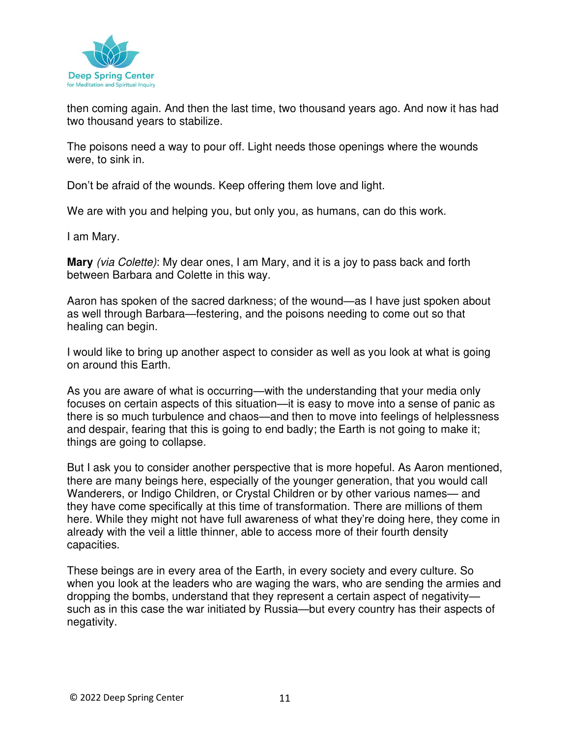

then coming again. And then the last time, two thousand years ago. And now it has had two thousand years to stabilize.

The poisons need a way to pour off. Light needs those openings where the wounds were, to sink in.

Don't be afraid of the wounds. Keep offering them love and light.

We are with you and helping you, but only you, as humans, can do this work.

I am Mary.

**Mary** (via Colette): My dear ones, I am Mary, and it is a joy to pass back and forth between Barbara and Colette in this way.

Aaron has spoken of the sacred darkness; of the wound—as I have just spoken about as well through Barbara—festering, and the poisons needing to come out so that healing can begin.

I would like to bring up another aspect to consider as well as you look at what is going on around this Earth.

As you are aware of what is occurring—with the understanding that your media only focuses on certain aspects of this situation—it is easy to move into a sense of panic as there is so much turbulence and chaos—and then to move into feelings of helplessness and despair, fearing that this is going to end badly; the Earth is not going to make it; things are going to collapse.

But I ask you to consider another perspective that is more hopeful. As Aaron mentioned, there are many beings here, especially of the younger generation, that you would call Wanderers, or Indigo Children, or Crystal Children or by other various names— and they have come specifically at this time of transformation. There are millions of them here. While they might not have full awareness of what they're doing here, they come in already with the veil a little thinner, able to access more of their fourth density capacities.

These beings are in every area of the Earth, in every society and every culture. So when you look at the leaders who are waging the wars, who are sending the armies and dropping the bombs, understand that they represent a certain aspect of negativity such as in this case the war initiated by Russia—but every country has their aspects of negativity.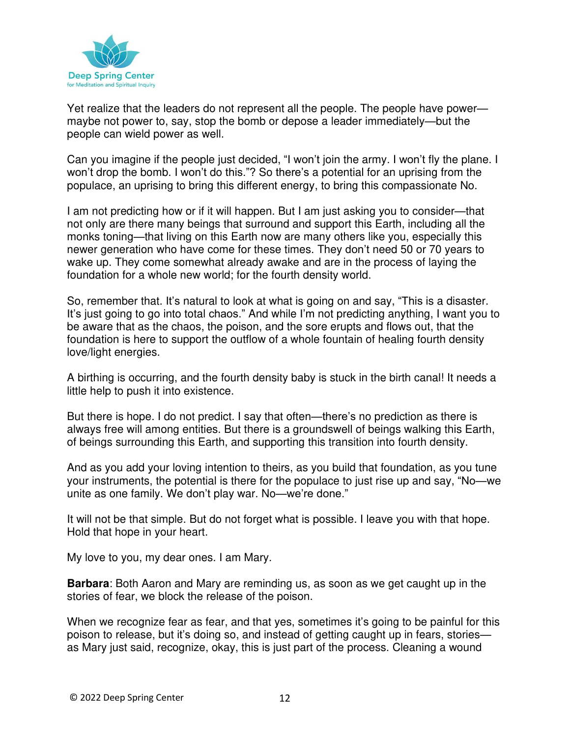

Yet realize that the leaders do not represent all the people. The people have power maybe not power to, say, stop the bomb or depose a leader immediately—but the people can wield power as well.

Can you imagine if the people just decided, "I won't join the army. I won't fly the plane. I won't drop the bomb. I won't do this."? So there's a potential for an uprising from the populace, an uprising to bring this different energy, to bring this compassionate No.

I am not predicting how or if it will happen. But I am just asking you to consider—that not only are there many beings that surround and support this Earth, including all the monks toning—that living on this Earth now are many others like you, especially this newer generation who have come for these times. They don't need 50 or 70 years to wake up. They come somewhat already awake and are in the process of laying the foundation for a whole new world; for the fourth density world.

So, remember that. It's natural to look at what is going on and say, "This is a disaster. It's just going to go into total chaos." And while I'm not predicting anything, I want you to be aware that as the chaos, the poison, and the sore erupts and flows out, that the foundation is here to support the outflow of a whole fountain of healing fourth density love/light energies.

A birthing is occurring, and the fourth density baby is stuck in the birth canal! It needs a little help to push it into existence.

But there is hope. I do not predict. I say that often—there's no prediction as there is always free will among entities. But there is a groundswell of beings walking this Earth, of beings surrounding this Earth, and supporting this transition into fourth density.

And as you add your loving intention to theirs, as you build that foundation, as you tune your instruments, the potential is there for the populace to just rise up and say, "No—we unite as one family. We don't play war. No—we're done."

It will not be that simple. But do not forget what is possible. I leave you with that hope. Hold that hope in your heart.

My love to you, my dear ones. I am Mary.

**Barbara**: Both Aaron and Mary are reminding us, as soon as we get caught up in the stories of fear, we block the release of the poison.

When we recognize fear as fear, and that yes, sometimes it's going to be painful for this poison to release, but it's doing so, and instead of getting caught up in fears, stories as Mary just said, recognize, okay, this is just part of the process. Cleaning a wound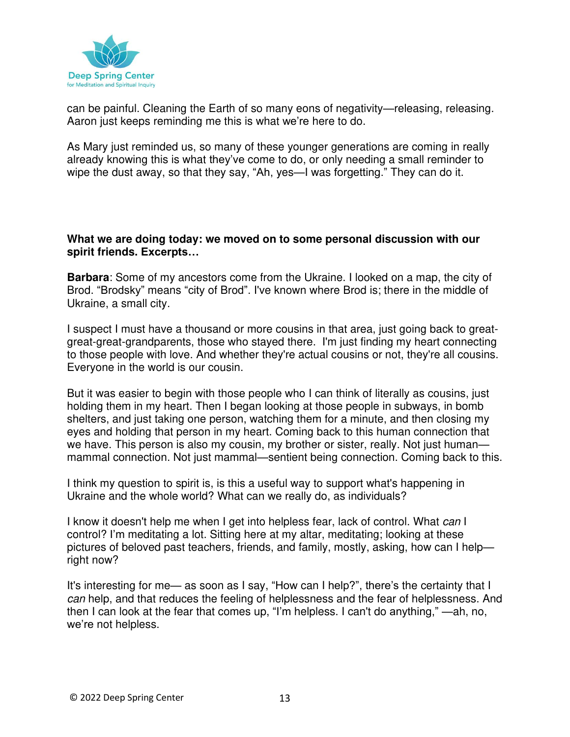

can be painful. Cleaning the Earth of so many eons of negativity—releasing, releasing. Aaron just keeps reminding me this is what we're here to do.

As Mary just reminded us, so many of these younger generations are coming in really already knowing this is what they've come to do, or only needing a small reminder to wipe the dust away, so that they say, "Ah, yes—I was forgetting." They can do it.

## **What we are doing today: we moved on to some personal discussion with our spirit friends. Excerpts…**

**Barbara**: Some of my ancestors come from the Ukraine. I looked on a map, the city of Brod. "Brodsky" means "city of Brod". I've known where Brod is; there in the middle of Ukraine, a small city.

I suspect I must have a thousand or more cousins in that area, just going back to greatgreat-great-grandparents, those who stayed there. I'm just finding my heart connecting to those people with love. And whether they're actual cousins or not, they're all cousins. Everyone in the world is our cousin.

But it was easier to begin with those people who I can think of literally as cousins, just holding them in my heart. Then I began looking at those people in subways, in bomb shelters, and just taking one person, watching them for a minute, and then closing my eyes and holding that person in my heart. Coming back to this human connection that we have. This person is also my cousin, my brother or sister, really. Not just human mammal connection. Not just mammal—sentient being connection. Coming back to this.

I think my question to spirit is, is this a useful way to support what's happening in Ukraine and the whole world? What can we really do, as individuals?

I know it doesn't help me when I get into helpless fear, lack of control. What can I control? I'm meditating a lot. Sitting here at my altar, meditating; looking at these pictures of beloved past teachers, friends, and family, mostly, asking, how can I help right now?

It's interesting for me— as soon as I say, "How can I help?", there's the certainty that I can help, and that reduces the feeling of helplessness and the fear of helplessness. And then I can look at the fear that comes up, "I'm helpless. I can't do anything," —ah, no, we're not helpless.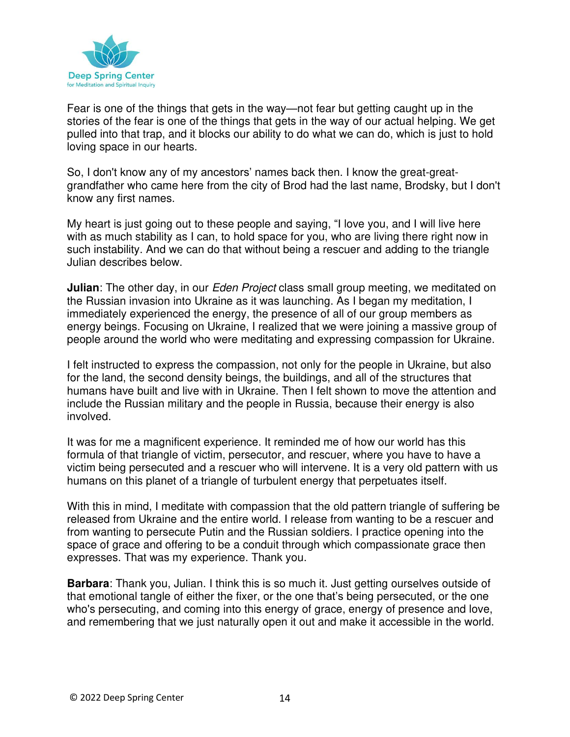

Fear is one of the things that gets in the way—not fear but getting caught up in the stories of the fear is one of the things that gets in the way of our actual helping. We get pulled into that trap, and it blocks our ability to do what we can do, which is just to hold loving space in our hearts.

So, I don't know any of my ancestors' names back then. I know the great-greatgrandfather who came here from the city of Brod had the last name, Brodsky, but I don't know any first names.

My heart is just going out to these people and saying, "I love you, and I will live here with as much stability as I can, to hold space for you, who are living there right now in such instability. And we can do that without being a rescuer and adding to the triangle Julian describes below.

**Julian**: The other day, in our *Eden Project* class small group meeting, we meditated on the Russian invasion into Ukraine as it was launching. As I began my meditation, I immediately experienced the energy, the presence of all of our group members as energy beings. Focusing on Ukraine, I realized that we were joining a massive group of people around the world who were meditating and expressing compassion for Ukraine.

I felt instructed to express the compassion, not only for the people in Ukraine, but also for the land, the second density beings, the buildings, and all of the structures that humans have built and live with in Ukraine. Then I felt shown to move the attention and include the Russian military and the people in Russia, because their energy is also involved.

It was for me a magnificent experience. It reminded me of how our world has this formula of that triangle of victim, persecutor, and rescuer, where you have to have a victim being persecuted and a rescuer who will intervene. It is a very old pattern with us humans on this planet of a triangle of turbulent energy that perpetuates itself.

With this in mind, I meditate with compassion that the old pattern triangle of suffering be released from Ukraine and the entire world. I release from wanting to be a rescuer and from wanting to persecute Putin and the Russian soldiers. I practice opening into the space of grace and offering to be a conduit through which compassionate grace then expresses. That was my experience. Thank you.

**Barbara**: Thank you, Julian. I think this is so much it. Just getting ourselves outside of that emotional tangle of either the fixer, or the one that's being persecuted, or the one who's persecuting, and coming into this energy of grace, energy of presence and love, and remembering that we just naturally open it out and make it accessible in the world.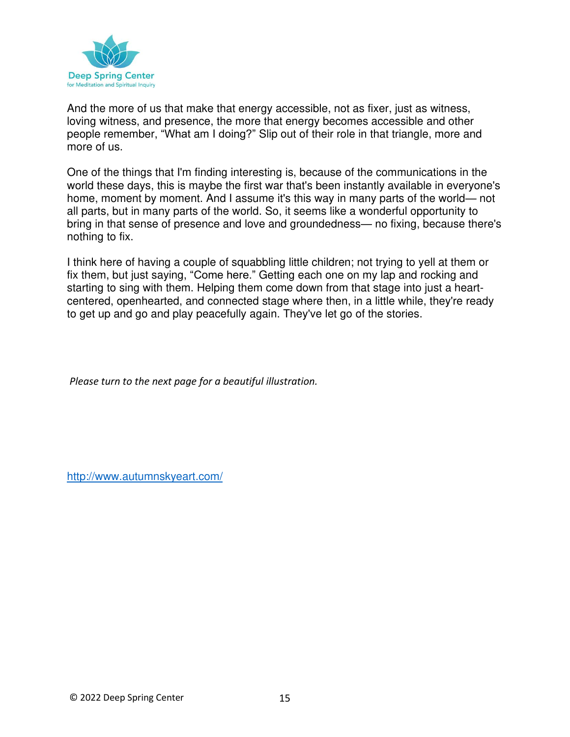

And the more of us that make that energy accessible, not as fixer, just as witness, loving witness, and presence, the more that energy becomes accessible and other people remember, "What am I doing?" Slip out of their role in that triangle, more and more of us.

One of the things that I'm finding interesting is, because of the communications in the world these days, this is maybe the first war that's been instantly available in everyone's home, moment by moment. And I assume it's this way in many parts of the world— not all parts, but in many parts of the world. So, it seems like a wonderful opportunity to bring in that sense of presence and love and groundedness— no fixing, because there's nothing to fix.

I think here of having a couple of squabbling little children; not trying to yell at them or fix them, but just saying, "Come here." Getting each one on my lap and rocking and starting to sing with them. Helping them come down from that stage into just a heartcentered, openhearted, and connected stage where then, in a little while, they're ready to get up and go and play peacefully again. They've let go of the stories.

 *Please turn to the next page for a beautiful illustration.* 

<http://www.autumnskyeart.com/>